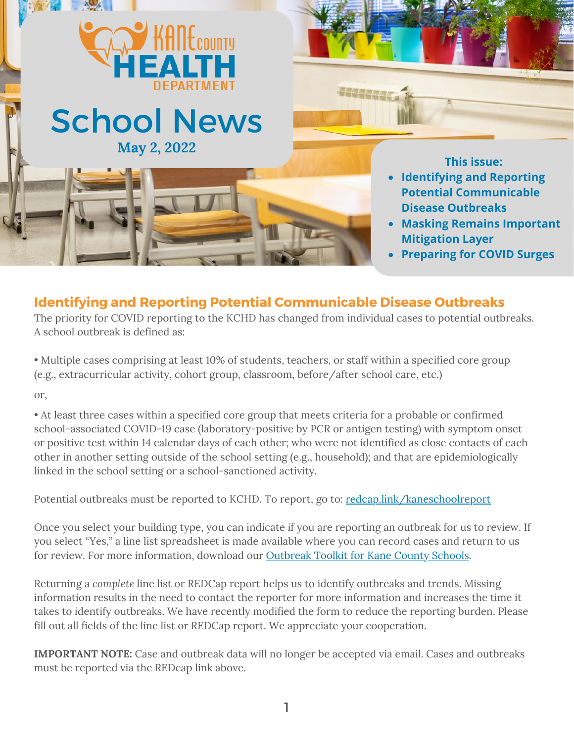

## **Identifying and Reporting Potential Communicable Disease Outbreaks**

The priority for COVID reporting to the KCHD has changed from individual cases to potential outbreaks. A school outbreak is defined as:

• Multiple cases comprising at least 10% of students, teachers, or staff within a specified core group (e.g., extracurricular activity, cohort group, classroom, before/after school care, etc.) or,

• At least three cases within a specified core group that meets criteria for a probable or confirmed school-associated COVID-19 case (laboratory-positive by PCR or antigen testing) with symptom onset or positive test within 14 calendar days of each other; who were not identified as close contacts of each other in another setting outside of the school setting (e.g., household); and that are epidemiologically linked in the school setting or a school-sanctioned activity.

Potential outbreaks must be reported to KCHD. To report, go to: [redcap.link/kaneschoolreport](http://redcap.link/kaneschoolreport)

Once you select your building type, you can indicate if you are reporting an outbreak for us to review. If you select "Yes," a line list spreadsheet is made available where you can record cases and return to us for review. For more information, download our [Outbreak](https://www.kanehealth.com/Documents/Diseases/COVID-19/KCHD%20COVID-19%20Outbreak%20Toolkit%20V1.pdf) Toolkit for Kane County Schools.

Returning a *complete* line list or REDCap report helps us to identify outbreaks and trends. Missing information results in the need to contact the reporter for more information and increases the time it takes to identify outbreaks. We have recently modified the form to reduce the reporting burden. Please fill out all fields of the line list or REDCap report. We appreciate your cooperation.

**IMPORTANT NOTE:** Case and outbreak data will no longer be accepted via email. Cases and outbreaks must be reported via the REDcap link above.